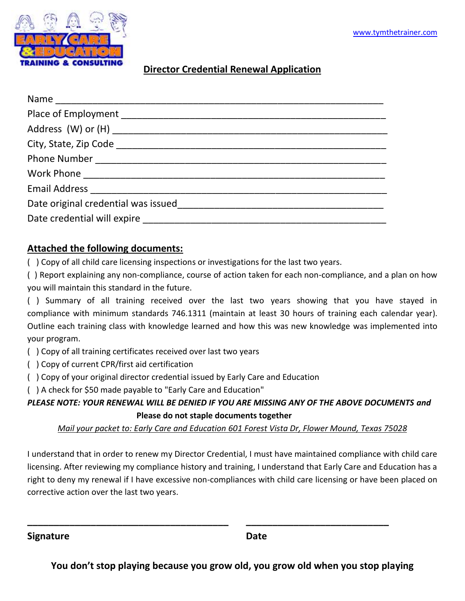

#### **Director Credential Renewal Application**

| Date original credential was issued by a state of the control of the state of the state of the state of the state of the state of the state of the state of the state of the state of the state of the state of the state of t |  |  |
|--------------------------------------------------------------------------------------------------------------------------------------------------------------------------------------------------------------------------------|--|--|
|                                                                                                                                                                                                                                |  |  |

#### **Attached the following documents:**

( ) Copy of all child care licensing inspections or investigations for the last two years.

( ) Report explaining any non-compliance, course of action taken for each non-compliance, and a plan on how you will maintain this standard in the future.

( ) Summary of all training received over the last two years showing that you have stayed in compliance with minimum standards 746.1311 (maintain at least 30 hours of training each calendar year). Outline each training class with knowledge learned and how this was new knowledge was implemented into your program.

- ( ) Copy of all training certificates received over last two years
- ( ) Copy of current CPR/first aid certification
- ( ) Copy of your original director credential issued by Early Care and Education
- ( ) A check for \$50 made payable to "Early Care and Education"

*PLEASE NOTE: YOUR RENEWAL WILL BE DENIED IF YOU ARE MISSING ANY OF THE ABOVE DOCUMENTS and* **Please do not staple documents together**

*Mail your packet to: Early Care and Education 601 Forest Vista Dr, Flower Mound, Texas 75028*

I understand that in order to renew my Director Credential, I must have maintained compliance with child care licensing. After reviewing my compliance history and training, I understand that Early Care and Education has a right to deny my renewal if I have excessive non-compliances with child care licensing or have been placed on corrective action over the last two years.

**Signature Date**

**\_\_\_\_\_\_\_\_\_\_\_\_\_\_\_\_\_\_\_\_\_\_\_\_\_\_\_\_\_\_\_\_\_\_\_\_\_\_ \_\_\_\_\_\_\_\_\_\_\_\_\_\_\_\_\_\_\_\_\_\_\_\_\_\_\_**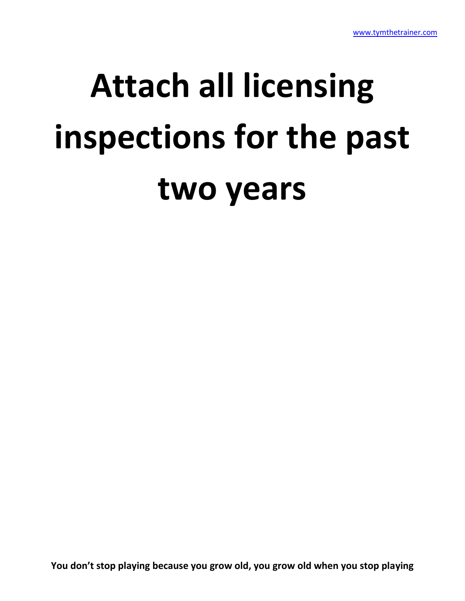## **Attach all licensing inspections for the past two years**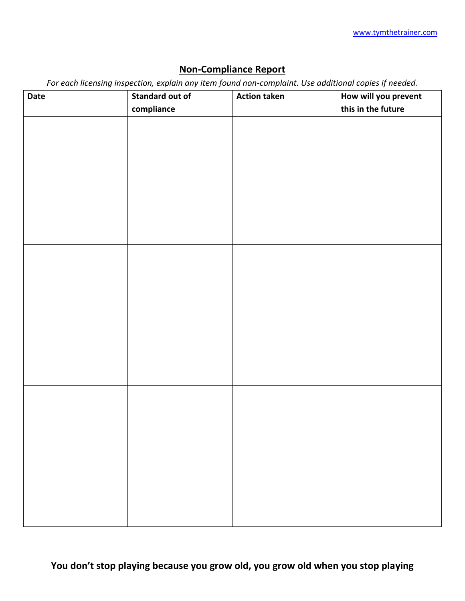### **Non-Compliance Report**

*For each licensing inspection, explain any item found non-complaint. Use additional copies if needed.*

| <b>Date</b> | $\sim$<br>л.<br><b>Standard out of</b> | <b>Action taken</b> | $\mathcal{L} = \mathcal{L} = \mathcal{L} = \mathcal{L}$<br>How will you prevent |
|-------------|----------------------------------------|---------------------|---------------------------------------------------------------------------------|
|             | compliance                             |                     | this in the future                                                              |
|             |                                        |                     |                                                                                 |
|             |                                        |                     |                                                                                 |
|             |                                        |                     |                                                                                 |
|             |                                        |                     |                                                                                 |
|             |                                        |                     |                                                                                 |
|             |                                        |                     |                                                                                 |
|             |                                        |                     |                                                                                 |
|             |                                        |                     |                                                                                 |
|             |                                        |                     |                                                                                 |
|             |                                        |                     |                                                                                 |
|             |                                        |                     |                                                                                 |
|             |                                        |                     |                                                                                 |
|             |                                        |                     |                                                                                 |
|             |                                        |                     |                                                                                 |
|             |                                        |                     |                                                                                 |
|             |                                        |                     |                                                                                 |
|             |                                        |                     |                                                                                 |
|             |                                        |                     |                                                                                 |
|             |                                        |                     |                                                                                 |
|             |                                        |                     |                                                                                 |
|             |                                        |                     |                                                                                 |
|             |                                        |                     |                                                                                 |
|             |                                        |                     |                                                                                 |
|             |                                        |                     |                                                                                 |
|             |                                        |                     |                                                                                 |
|             |                                        |                     |                                                                                 |
|             |                                        |                     |                                                                                 |
|             |                                        |                     |                                                                                 |
|             |                                        |                     |                                                                                 |
|             |                                        |                     |                                                                                 |
|             |                                        |                     |                                                                                 |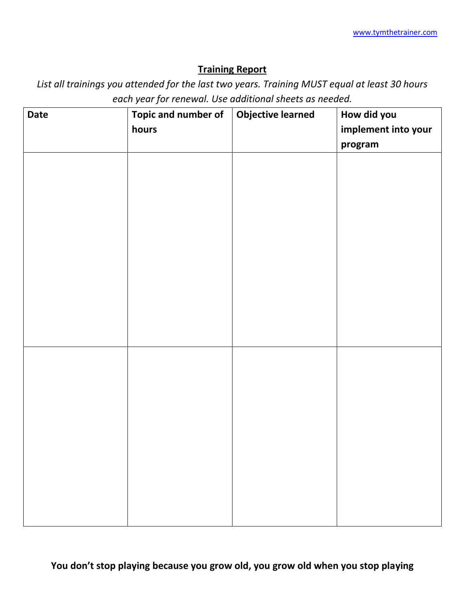#### **Training Report**

*List all trainings you attended for the last two years. Training MUST equal at least 30 hours each year for renewal. Use additional sheets as needed.*

| <b>Date</b> | Topic and number of<br>hours | Objective learned | How did you<br>implement into your<br>program |
|-------------|------------------------------|-------------------|-----------------------------------------------|
|             |                              |                   |                                               |
|             |                              |                   |                                               |
|             |                              |                   |                                               |
|             |                              |                   |                                               |
|             |                              |                   |                                               |
|             |                              |                   |                                               |
|             |                              |                   |                                               |
|             |                              |                   |                                               |
|             |                              |                   |                                               |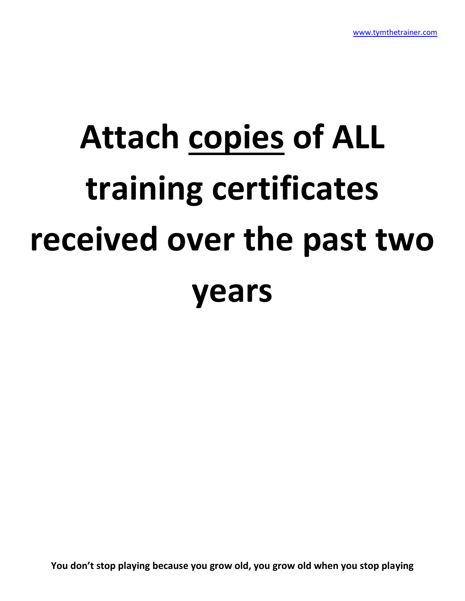# **Attach copies of ALL training certificates received over the past two years**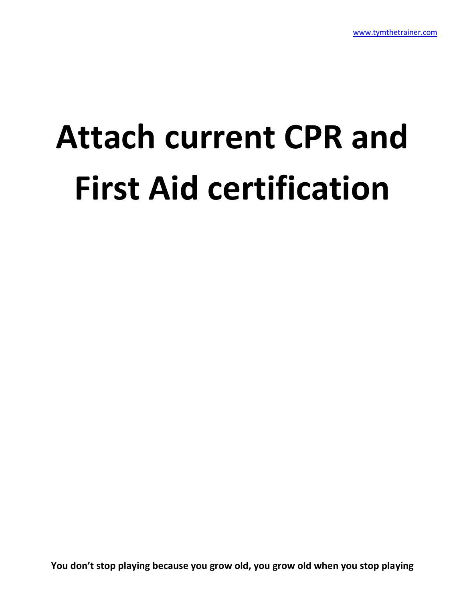## **Attach current CPR and First Aid certification**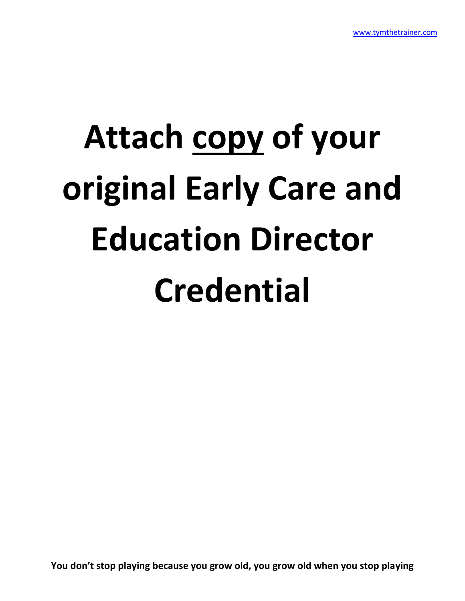# **Attach copy of your original Early Care and Education Director Credential**